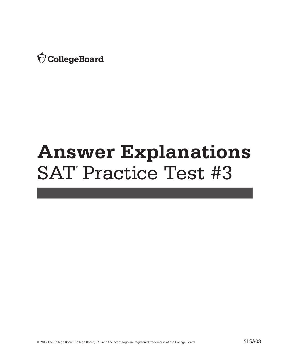Ó CollegeBoard

# **Answer Explanations** SAT Practice Test #3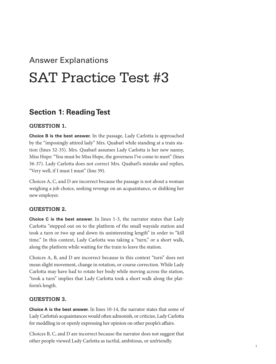## Answer Explanations

## SAT Practice Test #3

## **Section 1: Reading Test**

## **QUESTION 1.**

**Choice B is the best answer.** In the passage, Lady Carlotta is approached by the "imposingly attired lady" Mrs. Quabarl while standing at a train station (lines 32-35). Mrs. Quabarl assumes Lady Carlotta is her new nanny, Miss Hope: "You must be Miss Hope, the governess I've come to meet" (lines 36-37). Lady Carlotta does not correct Mrs. Quabarl's mistake and replies, "Very well, if I must I must" (line 39).

Choices A, C, and D are incorrect because the passage is not about a woman weighing a job choice, seeking revenge on an acquaintance, or disliking her new employer.

## **QUESTION 2.**

**Choice C is the best answer.** In lines 1-3, the narrator states that Lady Carlotta "stepped out on to the platform of the small wayside station and took a turn or two up and down its uninteresting length" in order to "kill time." In this context, Lady Carlotta was taking a "turn," or a short walk, along the platform while waiting for the train to leave the station.

Choices A, B, and D are incorrect because in this context "turn" does not mean slight movement, change in rotation, or course correction. While Lady Carlotta may have had to rotate her body while moving across the station, "took a turn" implies that Lady Carlotta took a short walk along the platform's length.

## **QUESTION 3.**

**Choice A is the best answer.** In lines 10-14, the narrator states that some of Lady Carlotta's acquaintances would often admonish, or criticize, Lady Carlotta for meddling in or openly expressing her opinion on other people's affairs.

Choices B, C, and D are incorrect because the narrator does not suggest that other people viewed Lady Carlotta as tactful, ambitious, or unfriendly.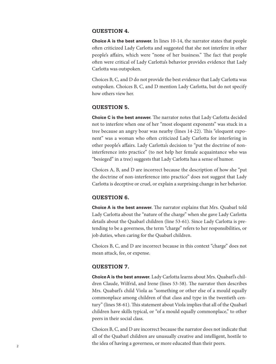## **QUESTION 4.**

**Choice A is the best answer.** In lines 10-14, the narrator states that people often criticized Lady Carlotta and suggested that she not interfere in other people's affairs, which were "none of her business." The fact that people often were critical of Lady Carlotta's behavior provides evidence that Lady Carlotta was outspoken.

Choices B, C, and D do not provide the best evidence that Lady Carlotta was outspoken. Choices B, C, and D mention Lady Carlotta, but do not specify how others view her.

## **QUESTION 5.**

**Choice C is the best answer.** The narrator notes that Lady Carlotta decided not to interfere when one of her "most eloquent exponents" was stuck in a tree because an angry boar was nearby (lines 14-22). This "eloquent exponent" was a woman who often criticized Lady Carlotta for interfering in other people's affairs. Lady Carlotta's decision to "put the doctrine of noninterference into practice" (to not help her female acquaintance who was "besieged" in a tree) suggests that Lady Carlotta has a sense of humor.

Choices A, B, and D are incorrect because the description of how she "put the doctrine of non-interference into practice" does not suggest that Lady Carlotta is deceptive or cruel, or explain a surprising change in her behavior.

## **QUESTION 6.**

**Choice A is the best answer.** The narrator explains that Mrs. Quabarl told Lady Carlotta about the "nature of the charge" when she gave Lady Carlotta details about the Quabarl children (line 53-61). Since Lady Carlotta is pretending to be a governess, the term "charge" refers to her responsibilities, or job duties, when caring for the Quabarl children.

Choices B, C, and D are incorrect because in this context "charge" does not mean attack, fee, or expense.

## **QUESTION 7.**

**Choice A is the best answer.** Lady Carlotta learns about Mrs. Quabarl's children Claude, Wilfrid, and Irene (lines 53-58). The narrator then describes Mrs. Quabarl's child Viola as "something or other else of a mould equally commonplace among children of that class and type in the twentieth century" (lines 58-61). This statement about Viola implies that all of the Quabarl children have skills typical, or "of a mould equally commonplace," to other peers in their social class.

Choices B, C, and D are incorrect because the narrator does not indicate that all of the Quabarl children are unusually creative and intelligent, hostile to the idea of having a governess, or more educated than their peers.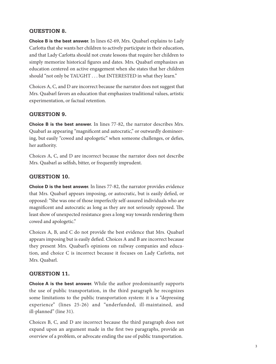## **QUESTION 8.**

**Choice B is the best answer.** In lines 62-69, Mrs. Quabarl explains to Lady Carlotta that she wants her children to actively participate in their education, and that Lady Carlotta should not create lessons that require her children to simply memorize historical figures and dates. Mrs. Quabarl emphasizes an education centered on active engagement when she states that her children should "not only be TAUGHT . . . but INTERESTED in what they learn."

Choices A, C, and D are incorrect because the narrator does not suggest that Mrs. Quabarl favors an education that emphasizes traditional values, artistic experimentation, or factual retention.

## **QUESTION 9.**

**Choice B is the best answer.** In lines 77-82, the narrator describes Mrs. Quabarl as appearing "magnificent and autocratic," or outwardly domineering, but easily "cowed and apologetic" when someone challenges, or defies, her authority.

Choices A, C, and D are incorrect because the narrator does not describe Mrs. Quabarl as selfish, bitter, or frequently imprudent.

## **QUESTION 10.**

**Choice D is the best answer.** In lines 77-82, the narrator provides evidence that Mrs. Quabarl appears imposing, or autocratic, but is easily defied, or opposed: "She was one of those imperfectly self-assured individuals who are magnificent and autocratic as long as they are not seriously opposed. The least show of unexpected resistance goes a long way towards rendering them cowed and apologetic."

Choices A, B, and C do not provide the best evidence that Mrs. Quabarl appears imposing but is easily defied. Choices A and B are incorrect because they present Mrs. Quabarl's opinions on railway companies and education, and choice C is incorrect because it focuses on Lady Carlotta, not Mrs. Quabarl.

## **QUESTION 11.**

**Choice A is the best answer.** While the author predominantly supports the use of public transportation, in the third paragraph he recognizes some limitations to the public transportation system: it is a "depressing experience" (lines 25-26) and "underfunded, ill-maintained, and ill-planned" (line 31).

Choices B, C, and D are incorrect because the third paragraph does not expand upon an argument made in the first two paragraphs, provide an overview of a problem, or advocate ending the use of public transportation.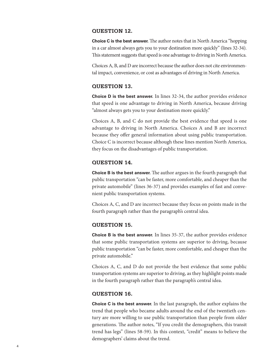## **QUESTION 12.**

**Choice C is the best answer.** The author notes that in North America "hopping in a car almost always gets you to your destination more quickly" (lines 32-34). This statement suggests that speed is one advantage to driving in North America.

Choices A, B, and D are incorrect because the author does not cite environmental impact, convenience, or cost as advantages of driving in North America.

## **QUESTION 13.**

**Choice D is the best answer.** In lines 32-34, the author provides evidence that speed is one advantage to driving in North America, because driving "almost always gets you to your destination more quickly."

Choices A, B, and C do not provide the best evidence that speed is one advantage to driving in North America. Choices A and B are incorrect because they offer general information about using public transportation. Choice C is incorrect because although these lines mention North America, they focus on the disadvantages of public transportation.

## **QUESTION 14.**

**Choice B is the best answer.** The author argues in the fourth paragraph that public transportation "can be faster, more comfortable, and cheaper than the private automobile" (lines 36-37) and provides examples of fast and convenient public transportation systems.

Choices A, C, and D are incorrect because they focus on points made in the fourth paragraph rather than the paragraph's central idea.

## **QUESTION 15.**

**Choice B is the best answer.** In lines 35-37, the author provides evidence that some public transportation systems are superior to driving, because public transportation "can be faster, more comfortable, and cheaper than the private automobile."

Choices A, C, and D do not provide the best evidence that some public transportation systems are superior to driving, as they highlight points made in the fourth paragraph rather than the paragraph's central idea.

## **QUESTION 16.**

**Choice C is the best answer.** In the last paragraph, the author explains the trend that people who became adults around the end of the twentieth century are more willing to use public transportation than people from older generations. The author notes, "If you credit the demographers, this transit trend has legs" (lines 58-59). In this context, "credit" means to believe the demographers' claims about the trend.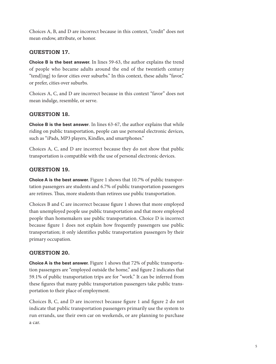Choices A, B, and D are incorrect because in this context, "credit" does not mean endow, attribute, or honor.

## **QUESTION 17.**

**Choice B is the best answer.** In lines 59-63, the author explains the trend of people who became adults around the end of the twentieth century "tend[ing] to favor cities over suburbs." In this context, these adults "favor," or prefer, cities over suburbs.

Choices A, C, and D are incorrect because in this context "favor" does not mean indulge, resemble, or serve.

## **QUESTION 18.**

**Choice B is the best answer**. In lines 63-67, the author explains that while riding on public transportation, people can use personal electronic devices, such as "iPads, MP3 players, Kindles, and smartphones."

Choices A, C, and D are incorrect because they do not show that public transportation is compatible with the use of personal electronic devices.

## **QUESTION 19.**

**Choice A is the best answer.** Figure 1 shows that 10.7% of public transportation passengers are students and 6.7% of public transportation passengers are retirees. Thus, more students than retirees use public transportation.

Choices B and C are incorrect because figure 1 shows that more employed than unemployed people use public transportation and that more employed people than homemakers use public transportation. Choice D is incorrect because figure 1 does not explain how frequently passengers use public transportation; it only identifies public transportation passengers by their primary occupation.

## **QUESTION 20.**

**Choice A is the best answer.** Figure 1 shows that 72% of public transportation passengers are "employed outside the home," and figure 2 indicates that 59.1% of public transportation trips are for "work." It can be inferred from these figures that many public transportation passengers take public transportation to their place of employment.

Choices B, C, and D are incorrect because figure 1 and figure 2 do not indicate that public transportation passengers primarily use the system to run errands, use their own car on weekends, or are planning to purchase a car.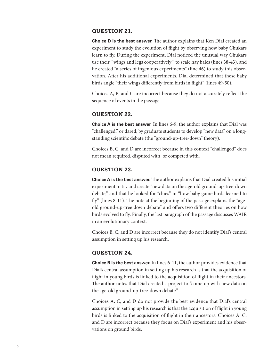## **QUESTION 21.**

**Choice D is the best answer.** The author explains that Ken Dial created an experiment to study the evolution of flight by observing how baby Chukars learn to fly. During the experiment, Dial noticed the unusual way Chukars use their "'wings and legs cooperatively'" to scale hay bales (lines 38-43), and he created "a series of ingenious experiments" (line 46) to study this observation. After his additional experiments, Dial determined that these baby birds angle "their wings differently from birds in flight" (lines 49-50).

Choices A, B, and C are incorrect because they do not accurately reflect the sequence of events in the passage.

## **QUESTION 22.**

**Choice A is the best answer.** In lines 6-9, the author explains that Dial was "challenged," or dared, by graduate students to develop "new data" on a longstanding scientific debate (the "ground-up-tree-down" theory).

Choices B, C, and D are incorrect because in this context "challenged" does not mean required, disputed with, or competed with.

## **QUESTION 23.**

**Choice A is the best answer.** The author explains that Dial created his initial experiment to try and create "new data on the age-old ground-up-tree-down debate," and that he looked for "clues" in "how baby game birds learned to fly" (lines 8-11). The note at the beginning of the passage explains the "ageold ground-up-tree down debate" and offers two different theories on how birds evolved to fly. Finally, the last paragraph of the passage discusses WAIR in an evolutionary context.

Choices B, C, and D are incorrect because they do not identify Dial's central assumption in setting up his research.

## **QUESTION 24.**

**Choice B is the best answer.** In lines 6-11, the author provides evidence that Dial's central assumption in setting up his research is that the acquisition of flight in young birds is linked to the acquisition of flight in their ancestors. The author notes that Dial created a project to "come up with new data on the age-old ground-up-tree-down debate."

Choices A, C, and D do not provide the best evidence that Dial's central assumption in setting up his research is that the acquisition of flight in young birds is linked to the acquisition of flight in their ancestors. Choices A, C, and D are incorrect because they focus on Dial's experiment and his observations on ground birds.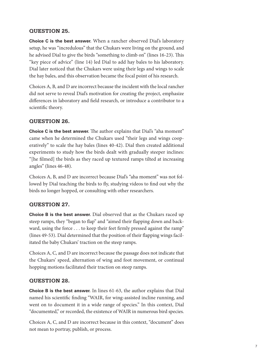## **QUESTION 25.**

**Choice C is the best answer.** When a rancher observed Dial's laboratory setup, he was "incredulous" that the Chukars were living on the ground, and he advised Dial to give the birds "something to climb on" (lines 16-23). This "key piece of advice" (line 14) led Dial to add hay bales to his laboratory. Dial later noticed that the Chukars were using their legs and wings to scale the hay bales, and this observation became the focal point of his research.

Choices A, B, and D are incorrect because the incident with the local rancher did not serve to reveal Dial's motivation for creating the project, emphasize differences in laboratory and field research, or introduce a contributor to a scientific theory.

## **QUESTION 26.**

**Choice C is the best answer.** The author explains that Dial's "aha moment" came when he determined the Chukars used "their legs and wings cooperatively" to scale the hay bales (lines 40-42). Dial then created additional experiments to study how the birds dealt with gradually steeper inclines: "[he filmed] the birds as they raced up textured ramps tilted at increasing angles" (lines 46-48).

Choices A, B, and D are incorrect because Dial's "aha moment" was not followed by Dial teaching the birds to fly, studying videos to find out why the birds no longer hopped, or consulting with other researchers.

## **QUESTION 27.**

**Choice B is the best answer.** Dial observed that as the Chukars raced up steep ramps, they "began to flap" and "aimed their flapping down and backward, using the force . . . to keep their feet firmly pressed against the ramp" (lines 49-53). Dial determined that the position of their flapping wings facilitated the baby Chukars' traction on the steep ramps.

Choices A, C, and D are incorrect because the passage does not indicate that the Chukars' speed, alternation of wing and foot movement, or continual hopping motions facilitated their traction on steep ramps.

## **QUESTION 28.**

**Choice B is the best answer.** In lines 61-63, the author explains that Dial named his scientific finding "WAIR, for wing-assisted incline running, and went on to document it in a wide range of species." In this context, Dial "documented," or recorded, the existence of WAIR in numerous bird species.

Choices A, C, and D are incorrect because in this context, "document" does not mean to portray, publish, or process.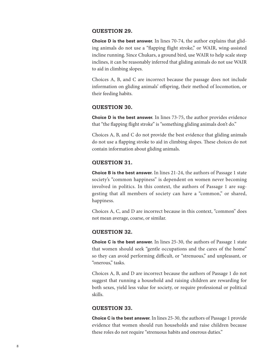## **QUESTION 29.**

**Choice D is the best answer.** In lines 70-74, the author explains that gliding animals do not use a "flapping flight stroke," or WAIR, wing-assisted incline running. Since Chukars, a ground bird, use WAIR to help scale steep inclines, it can be reasonably inferred that gliding animals do not use WAIR to aid in climbing slopes.

Choices A, B, and C are incorrect because the passage does not include information on gliding animals' offspring, their method of locomotion, or their feeding habits.

## **QUESTION 30.**

**Choice D is the best answer.** In lines 73-75, the author provides evidence that "the flapping flight stroke" is "something gliding animals don't do."

Choices A, B, and C do not provide the best evidence that gliding animals do not use a flapping stroke to aid in climbing slopes. These choices do not contain information about gliding animals.

## **QUESTION 31.**

**Choice B is the best answer.** In lines 21-24, the authors of Passage 1 state society's "common happiness" is dependent on women never becoming involved in politics. In this context, the authors of Passage 1 are suggesting that all members of society can have a "common," or shared, happiness.

Choices A, C, and D are incorrect because in this context, "common" does not mean average, coarse, or similar.

## **QUESTION 32.**

**Choice C is the best answer.** In lines 25-30, the authors of Passage 1 state that women should seek "gentle occupations and the cares of the home" so they can avoid performing difficult, or "strenuous," and unpleasant, or "onerous," tasks.

Choices A, B, and D are incorrect because the authors of Passage 1 do not suggest that running a household and raising children are rewarding for both sexes, yield less value for society, or require professional or political skills.

## **QUESTION 33.**

**Choice C is the best answer.** In lines 25-30, the authors of Passage 1 provide evidence that women should run households and raise children because these roles do not require "strenuous habits and onerous duties."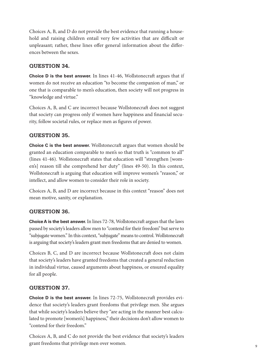Choices A, B, and D do not provide the best evidence that running a household and raising children entail very few activities that are difficult or unpleasant; rather, these lines offer general information about the differences between the sexes.

## **QUESTION 34.**

**Choice D is the best answer.** In lines 41-46, Wollstonecraft argues that if women do not receive an education "to become the companion of man," or one that is comparable to men's education, then society will not progress in "knowledge and virtue."

Choices A, B, and C are incorrect because Wollstonecraft does not suggest that society can progress only if women have happiness and financial security, follow societal rules, or replace men as figures of power.

## **QUESTION 35.**

**Choice C is the best answer.** Wollstonecraft argues that women should be granted an education comparable to men's so that truth is "common to all" (lines 41-46). Wollstonecraft states that education will "strengthen [women's] reason till she comprehend her duty" (lines 49-50). In this context, Wollstonecraft is arguing that education will improve women's "reason," or intellect, and allow women to consider their role in society.

Choices A, B, and D are incorrect because in this context "reason" does not mean motive, sanity, or explanation.

## **QUESTION 36.**

**Choice A is the best answer.** In lines 72-78, Wollstonecraft argues that the laws passed by society's leaders allow men to "contend for their freedom" but serve to "subjugate women." In this context, "subjugate" means to control. Wollstonecraft is arguing that society's leaders grant men freedoms that are denied to women.

Choices B, C, and D are incorrect because Wollstonecraft does not claim that society's leaders have granted freedoms that created a general reduction in individual virtue, caused arguments about happiness, or ensured equality for all people.

## **QUESTION 37.**

**Choice D is the best answer.** In lines 72-75, Wollstonecraft provides evidence that society's leaders grant freedoms that privilege men. She argues that while society's leaders believe they "are acting in the manner best calculated to promote [women's] happiness," their decisions don't allow women to "contend for their freedom."

Choices A, B, and C do not provide the best evidence that society's leaders grant freedoms that privilege men over women.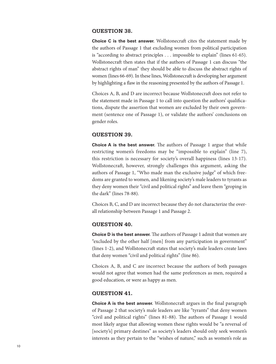## **QUESTION 38.**

**Choice C is the best answer.** Wollstonecraft cites the statement made by the authors of Passage 1 that excluding women from political participation is "according to abstract principles . . . impossible to explain" (lines 61-65). Wollstonecraft then states that if the authors of Passage 1 can discuss "the abstract rights of man" they should be able to discuss the abstract rights of women (lines 66-69). In these lines, Wollstonecraft is developing her argument by highlighting a flaw in the reasoning presented by the authors of Passage 1.

Choices A, B, and D are incorrect because Wollstonecraft does not refer to the statement made in Passage 1 to call into question the authors' qualifications, dispute the assertion that women are excluded by their own government (sentence one of Passage 1), or validate the authors' conclusions on gender roles.

## **QUESTION 39.**

**Choice A is the best answer.** The authors of Passage 1 argue that while restricting women's freedoms may be "impossible to explain" (line 7), this restriction is necessary for society's overall happiness (lines 13-17). Wollstonecraft, however, strongly challenges this argument, asking the authors of Passage 1, "Who made man the exclusive judge" of which freedoms are granted to women, and likening society's male leaders to tyrants as they deny women their "civil and political rights" and leave them "groping in the dark" (lines 78-88).

Choices B, C, and D are incorrect because they do not characterize the overall relationship between Passage 1 and Passage 2.

## **QUESTION 40.**

**Choice D is the best answer.** The authors of Passage 1 admit that women are "excluded by the other half [men] from any participation in government" (lines 1-2), and Wollstonecraft states that society's male leaders create laws that deny women "civil and political rights" (line 86).

Choices A, B, and C are incorrect because the authors of both passages would not agree that women had the same preferences as men, required a good education, or were as happy as men.

## **QUESTION 41.**

**Choice A is the best answer.** Wollstonecraft argues in the final paragraph of Passage 2 that society's male leaders are like "tyrants" that deny women "civil and political rights" (lines 81-88). The authors of Passage 1 would most likely argue that allowing women these rights would be "a reversal of [society's] primary destines" as society's leaders should only seek women's interests as they pertain to the "wishes of nature," such as women's role as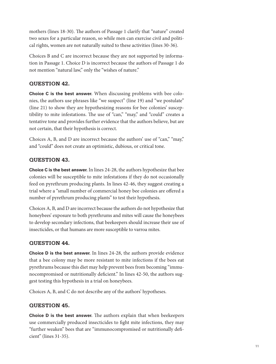mothers (lines 18-30). The authors of Passage 1 clarify that "nature" created two sexes for a particular reason, so while men can exercise civil and political rights, women are not naturally suited to these activities (lines 30-36).

Choices B and C are incorrect because they are not supported by information in Passage 1. Choice D is incorrect because the authors of Passage 1 do not mention "natural law," only the "wishes of nature."

## **QUESTION 42.**

**Choice C is the best answer.** When discussing problems with bee colonies, the authors use phrases like "we suspect" (line 19) and "we postulate" (line 21) to show they are hypothesizing reasons for bee colonies' susceptibility to mite infestations. The use of "can," "may," and "could" creates a tentative tone and provides further evidence that the authors believe, but are not certain, that their hypothesis is correct.

Choices A, B, and D are incorrect because the authors' use of "can," "may," and "could" does not create an optimistic, dubious, or critical tone.

## **QUESTION 43.**

**Choice C is the best answer.** In lines 24-28, the authors hypothesize that bee colonies will be susceptible to mite infestations if they do not occasionally feed on pyrethrum producing plants. In lines 42-46, they suggest creating a trial where a "small number of commercial honey bee colonies are offered a number of pyrethrum producing plants" to test their hypothesis.

Choices A, B, and D are incorrect because the authors do not hypothesize that honeybees' exposure to both pyrethrums and mites will cause the honeybees to develop secondary infections, that beekeepers should increase their use of insecticides, or that humans are more susceptible to varroa mites.

## **QUESTION 44.**

**Choice D is the best answer.** In lines 24-28, the authors provide evidence that a bee colony may be more resistant to mite infections if the bees eat pyrethrums because this diet may help prevent bees from becoming "immunocompromised or nutritionally deficient." In lines 42-50, the authors suggest testing this hypothesis in a trial on honeybees.

Choices A, B, and C do not describe any of the authors' hypotheses.

## **QUESTION 45.**

**Choice D is the best answer.** The authors explain that when beekeepers use commercially produced insecticides to fight mite infections, they may "further weaken" bees that are "immunocompromised or nutritionally deficient" (lines 31-35).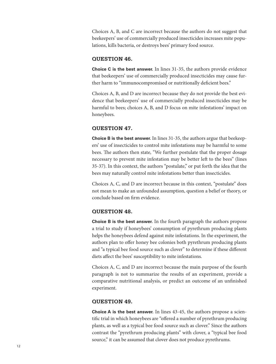Choices A, B, and C are incorrect because the authors do not suggest that beekeepers' use of commercially produced insecticides increases mite populations, kills bacteria, or destroys bees' primary food source.

## **QUESTION 46.**

**Choice C is the best answer.** In lines 31-35, the authors provide evidence that beekeepers' use of commercially produced insecticides may cause further harm to "immunocompromised or nutritionally deficient bees."

Choices A, B, and D are incorrect because they do not provide the best evidence that beekeepers' use of commercially produced insecticides may be harmful to bees; choices A, B, and D focus on mite infestations' impact on honeybees.

## **QUESTION 47.**

**Choice B is the best answer.** In lines 31-35, the authors argue that beekeepers' use of insecticides to control mite infestations may be harmful to some bees. The authors then state, "We further postulate that the proper dosage necessary to prevent mite infestation may be better left to the bees" (lines 35-37). In this context, the authors "postulate," or put forth the idea that the bees may naturally control mite infestations better than insecticides.

Choices A, C, and D are incorrect because in this context, "postulate" does not mean to make an unfounded assumption, question a belief or theory, or conclude based on firm evidence.

## **QUESTION 48.**

**Choice B is the best answer.** In the fourth paragraph the authors propose a trial to study if honeybees' consumption of pyrethrum producing plants helps the honeybees defend against mite infestations. In the experiment, the authors plan to offer honey bee colonies both pyrethrum producing plants and "a typical bee food source such as clover" to determine if these different diets affect the bees' susceptibility to mite infestations.

Choices A, C, and D are incorrect because the main purpose of the fourth paragraph is not to summarize the results of an experiment, provide a comparative nutritional analysis, or predict an outcome of an unfinished experiment.

## **QUESTION 49.**

**Choice A is the best answer.** In lines 43-45, the authors propose a scientific trial in which honeybees are "offered a number of pyrethrum producing plants, as well as a typical bee food source such as clover." Since the authors contrast the "pyrethrum producing plants" with clover, a "typical bee food source," it can be assumed that clover does not produce pyrethrums.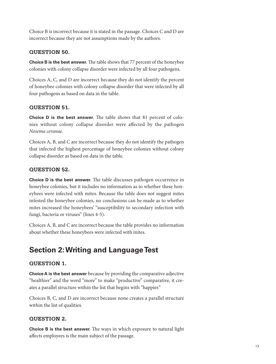Choice B is incorrect because it is stated in the passage. Choices C and D are incorrect because they are not assumptions made by the authors.

## **QUESTION 50.**

**Choice B is the best answer.** The table shows that 77 percent of the honeybee colonies with colony collapse disorder were infected by all four pathogens.

Choices A, C, and D are incorrect because they do not identify the percent of honeybee colonies with colony collapse disorder that were infected by all four pathogens as based on data in the table.

## **QUESTION 51.**

**Choice D is the best answer.** The table shows that 81 percent of colonies without colony collapse disorder were affected by the pathogen *Nosema ceranae*.

Choices A, B, and C are incorrect because they do not identify the pathogen that infected the highest percentage of honeybee colonies without colony collapse disorder as based on data in the table.

## **QUESTION 52.**

**Choice D is the best answer.** The table discusses pathogen occurrence in honeybee colonies, but it includes no information as to whether these honeybees were infected with mites. Because the table does not suggest mites infested the honeybee colonies, no conclusions can be made as to whether mites increased the honeybees' "susceptibility to secondary infection with fungi, bacteria or viruses" (lines 4-5).

Choices A, B, and C are incorrect because the table provides no information about whether these honeybees were infected with mites.

## **Section 2: Writing and Language Test**

## **QUESTION 1.**

**Choice A is the best answer** because by providing the comparative adjective "healthier" and the word "more" to make "productive" comparative, it creates a parallel structure within the list that begins with "happier."

Choices B, C, and D are incorrect because none creates a parallel structure within the list of qualities.

## **QUESTION 2.**

**Choice B is the best answer.** The ways in which exposure to natural light affects employees is the main subject of the passage.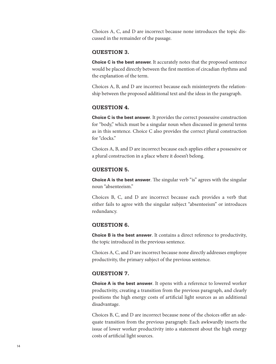Choices A, C, and D are incorrect because none introduces the topic discussed in the remainder of the passage.

## **QUESTION 3.**

**Choice C is the best answer.** It accurately notes that the proposed sentence would be placed directly between the first mention of circadian rhythms and the explanation of the term.

Choices A, B, and D are incorrect because each misinterprets the relationship between the proposed additional text and the ideas in the paragraph.

## **QUESTION 4.**

**Choice C is the best answer**. It provides the correct possessive construction for "body," which must be a singular noun when discussed in general terms as in this sentence. Choice C also provides the correct plural construction for "clocks."

Choices A, B, and D are incorrect because each applies either a possessive or a plural construction in a place where it doesn't belong.

## **QUESTION 5.**

**Choice A is the best answer**. The singular verb "is" agrees with the singular noun "absenteeism."

Choices B, C, and D are incorrect because each provides a verb that either fails to agree with the singular subject "absenteeism" or introduces redundancy.

## **QUESTION 6.**

**Choice B is the best answer**. It contains a direct reference to productivity, the topic introduced in the previous sentence.

Choices A, C, and D are incorrect because none directly addresses employee productivity, the primary subject of the previous sentence.

## **QUESTION 7.**

**Choice A is the best answer**. It opens with a reference to lowered worker productivity, creating a transition from the previous paragraph, and clearly positions the high energy costs of artificial light sources as an additional disadvantage.

Choices B, C, and D are incorrect because none of the choices offer an adequate transition from the previous paragraph: Each awkwardly inserts the issue of lower worker productivity into a statement about the high energy costs of artificial light sources.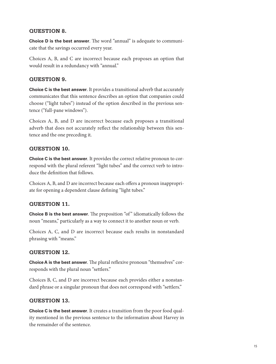## **QUESTION 8.**

**Choice D is the best answer**. The word "annual" is adequate to communicate that the savings occurred every year.

Choices A, B, and C are incorrect because each proposes an option that would result in a redundancy with "annual."

## **QUESTION 9.**

**Choice C is the best answer**. It provides a transitional adverb that accurately communicates that this sentence describes an option that companies could choose ("light tubes") instead of the option described in the previous sentence ("full-pane windows").

Choices A, B, and D are incorrect because each proposes a transitional adverb that does not accurately reflect the relationship between this sentence and the one preceding it.

## **QUESTION 10.**

**Choice C is the best answer**. It provides the correct relative pronoun to correspond with the plural referent "light tubes" and the correct verb to introduce the definition that follows.

Choices A, B, and D are incorrect because each offers a pronoun inappropriate for opening a dependent clause defining "light tubes."

## **QUESTION 11.**

**Choice B is the best answer**. The preposition "of" idiomatically follows the noun "means," particularly as a way to connect it to another noun or verb.

Choices A, C, and D are incorrect because each results in nonstandard phrasing with "means."

## **QUESTION 12.**

**Choice A is the best answer**. The plural reflexive pronoun "themselves" corresponds with the plural noun "settlers."

Choices B, C, and D are incorrect because each provides either a nonstandard phrase or a singular pronoun that does not correspond with "settlers."

## **QUESTION 13.**

**Choice C is the best answer**. It creates a transition from the poor food quality mentioned in the previous sentence to the information about Harvey in the remainder of the sentence.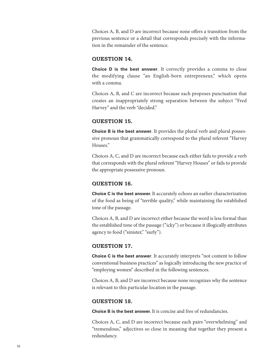Choices A, B, and D are incorrect because none offers a transition from the previous sentence or a detail that corresponds precisely with the information in the remainder of the sentence.

## **QUESTION 14.**

**Choice D is the best answer**. It correctly provides a comma to close the modifying clause "an English-born entrepreneur," which opens with a comma.

Choices A, B, and C are incorrect because each proposes punctuation that creates an inappropriately strong separation between the subject "Fred Harvey" and the verb "decided."

## **QUESTION 15.**

**Choice B is the best answer**. It provides the plural verb and plural possessive pronoun that grammatically correspond to the plural referent "Harvey Houses."

Choices A, C, and D are incorrect because each either fails to provide a verb that corresponds with the plural referent "Harvey Houses" or fails to provide the appropriate possessive pronoun.

## **QUESTION 16.**

**Choice C is the best answer.** It accurately echoes an earlier characterization of the food as being of "terrible quality," while maintaining the established tone of the passage.

Choices A, B, and D are incorrect either because the word is less formal than the established tone of the passage ("icky") or because it illogically attributes agency to food ("sinister," "surly").

## **QUESTION 17.**

**Choice C is the best answer**. It accurately interprets "not content to follow conventional business practices" as logically introducing the new practice of "employing women" described in the following sentences.

Choices A, B, and D are incorrect because none recognizes why the sentence is relevant to this particular location in the passage.

#### **QUESTION 18.**

**Choice B is the best answer.** It is concise and free of redundancies.

Choices A, C, and D are incorrect because each pairs "overwhelming" and "tremendous," adjectives so close in meaning that together they present a redundancy.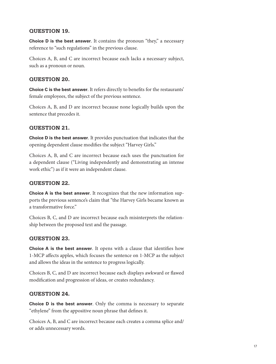## **QUESTION 19.**

**Choice D is the best answer**. It contains the pronoun "they," a necessary reference to "such regulations" in the previous clause.

Choices A, B, and C are incorrect because each lacks a necessary subject, such as a pronoun or noun.

## **QUESTION 20.**

**Choice C is the best answer**. It refers directly to benefits for the restaurants' female employees, the subject of the previous sentence.

Choices A, B, and D are incorrect because none logically builds upon the sentence that precedes it.

## **QUESTION 21.**

**Choice D is the best answer**. It provides punctuation that indicates that the opening dependent clause modifies the subject "Harvey Girls."

Choices A, B, and C are incorrect because each uses the punctuation for a dependent clause ("Living independently and demonstrating an intense work ethic") as if it were an independent clause.

## **QUESTION 22.**

**Choice A is the best answer**. It recognizes that the new information supports the previous sentence's claim that "the Harvey Girls became known as a transformative force."

Choices B, C, and D are incorrect because each misinterprets the relationship between the proposed text and the passage.

## **QUESTION 23.**

**Choice A is the best answer**. It opens with a clause that identifies how 1-MCP affects apples, which focuses the sentence on 1-MCP as the subject and allows the ideas in the sentence to progress logically.

Choices B, C, and D are incorrect because each displays awkward or flawed modification and progression of ideas, or creates redundancy.

## **QUESTION 24.**

**Choice D is the best answer**. Only the comma is necessary to separate "ethylene" from the appositive noun phrase that defines it.

Choices A, B, and C are incorrect because each creates a comma splice and/ or adds unnecessary words.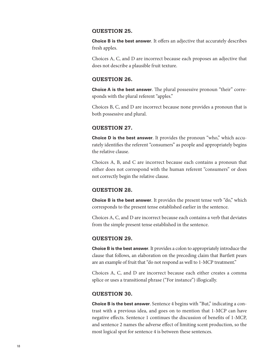## **QUESTION 25.**

**Choice B is the best answer**. It offers an adjective that accurately describes fresh apples.

Choices A, C, and D are incorrect because each proposes an adjective that does not describe a plausible fruit texture.

#### **QUESTION 26.**

**Choice A is the best answer**. The plural possessive pronoun "their" corresponds with the plural referent "apples."

Choices B, C, and D are incorrect because none provides a pronoun that is both possessive and plural.

## **QUESTION 27.**

**Choice D is the best answer**. It provides the pronoun "who," which accurately identifies the referent "consumers" as people and appropriately begins the relative clause.

Choices A, B, and C are incorrect because each contains a pronoun that either does not correspond with the human referent "consumers" or does not correctly begin the relative clause.

## **QUESTION 28.**

**Choice B is the best answer**. It provides the present tense verb "do," which corresponds to the present tense established earlier in the sentence.

Choices A, C, and D are incorrect because each contains a verb that deviates from the simple present tense established in the sentence.

## **QUESTION 29.**

**Choice B is the best answer**. It provides a colon to appropriately introduce the clause that follows, an elaboration on the preceding claim that Bartlett pears are an example of fruit that "do not respond as well to 1-MCP treatment."

Choices A, C, and D are incorrect because each either creates a comma splice or uses a transitional phrase ("For instance") illogically.

## **QUESTION 30.**

**Choice B is the best answer**. Sentence 4 begins with "But," indicating a contrast with a previous idea, and goes on to mention that 1-MCP can have negative effects. Sentence 1 continues the discussion of benefits of 1-MCP, and sentence 2 names the adverse effect of limiting scent production, so the most logical spot for sentence 4 is between these sentences.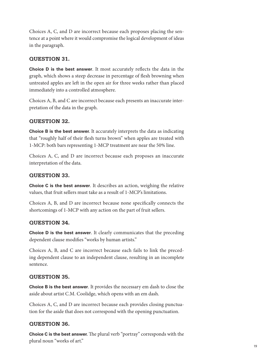Choices A, C, and D are incorrect because each proposes placing the sentence at a point where it would compromise the logical development of ideas in the paragraph.

## **QUESTION 31.**

**Choice D is the best answer**. It most accurately reflects the data in the graph, which shows a steep decrease in percentage of flesh browning when untreated apples are left in the open air for three weeks rather than placed immediately into a controlled atmosphere.

Choices A, B, and C are incorrect because each presents an inaccurate interpretation of the data in the graph.

## **QUESTION 32.**

**Choice B is the best answer.** It accurately interprets the data as indicating that "roughly half of their flesh turns brown" when apples are treated with 1-MCP: both bars representing 1-MCP treatment are near the 50% line.

Choices A, C, and D are incorrect because each proposes an inaccurate interpretation of the data.

## **QUESTION 33.**

**Choice C is the best answer**. It describes an action, weighing the relative values, that fruit sellers must take as a result of 1-MCP's limitations.

Choices A, B, and D are incorrect because none specifically connects the shortcomings of 1-MCP with any action on the part of fruit sellers.

## **QUESTION 34.**

**Choice D is the best answer**. It clearly communicates that the preceding dependent clause modifies "works by human artists."

Choices A, B, and C are incorrect because each fails to link the preceding dependent clause to an independent clause, resulting in an incomplete sentence.

## **QUESTION 35.**

**Choice B is the best answer**. It provides the necessary em dash to close the aside about artist C.M. Coolidge, which opens with an em dash.

Choices A, C, and D are incorrect because each provides closing punctuation for the aside that does not correspond with the opening punctuation.

## **QUESTION 36.**

**Choice C is the best answer.** The plural verb "portray" corresponds with the plural noun "works of art."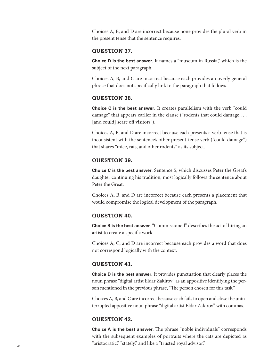Choices A, B, and D are incorrect because none provides the plural verb in the present tense that the sentence requires.

## **QUESTION 37.**

**Choice D is the best answer**. It names a "museum in Russia," which is the subject of the next paragraph.

Choices A, B, and C are incorrect because each provides an overly general phrase that does not specifically link to the paragraph that follows.

#### **QUESTION 38.**

**Choice C is the best answer**. It creates parallelism with the verb "could damage" that appears earlier in the clause ("rodents that could damage . . . [and could] scare off visitors").

Choices A, B, and D are incorrect because each presents a verb tense that is inconsistent with the sentence's other present-tense verb ("could damage") that shares "mice, rats, and other rodents" as its subject.

#### **QUESTION 39.**

**Choice C is the best answer**. Sentence 5, which discusses Peter the Great's daughter continuing his tradition, most logically follows the sentence about Peter the Great.

Choices A, B, and D are incorrect because each presents a placement that would compromise the logical development of the paragraph.

#### **QUESTION 40.**

**Choice B is the best answer**. "Commissioned" describes the act of hiring an artist to create a specific work.

Choices A, C, and D are incorrect because each provides a word that does not correspond logically with the context.

## **QUESTION 41.**

**Choice D is the best answer**. It provides punctuation that clearly places the noun phrase "digital artist Eldar Zakirov" as an appositive identifying the person mentioned in the previous phrase, "The person chosen for this task."

Choices A, B, and C are incorrect because each fails to open and close the uninterrupted appositive noun phrase "digital artist Eldar Zakirov" with commas.

#### **QUESTION 42.**

**Choice A is the best answer**. The phrase "noble individuals" corresponds with the subsequent examples of portraits where the cats are depicted as "aristocratic," "stately," and like a "trusted royal advisor."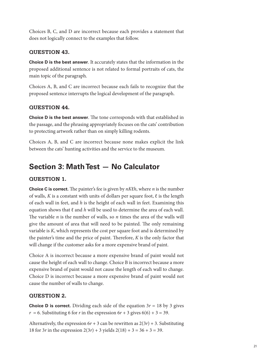Choices B, C, and D are incorrect because each provides a statement that does not logically connect to the examples that follow.

## **QUESTION 43.**

**Choice D is the best answer**. It accurately states that the information in the proposed additional sentence is not related to formal portraits of cats, the main topic of the paragraph.

Choices A, B, and C are incorrect because each fails to recognize that the proposed sentence interrupts the logical development of the paragraph.

## **QUESTION 44.**

**Choice D is the best answer**. The tone corresponds with that established in the passage, and the phrasing appropriately focuses on the cats' contribution to protecting artwork rather than on simply killing rodents.

Choices A, B, and C are incorrect because none makes explicit the link between the cats' hunting activities and the service to the museum.

## **Section 3: Math Test — No Calculator**

## **QUESTION 1.**

**Choice C is correct.** The painter's fee is given by *nK*ℓ*h*, where *n* is the number of walls,  $K$  is a constant with units of dollars per square foot,  $\ell$  is the length of each wall in feet, and *h* is the height of each wall in feet. Examining this equation shows that ℓ and *h* will be used to determine the area of each wall. The variable *n* is the number of walls, so *n* times the area of the walls will give the amount of area that will need to be painted. The only remaining variable is *K*, which represents the cost per square foot and is determined by the painter's time and the price of paint. Therefore, *K* is the only factor that will change if the customer asks for a more expensive brand of paint.

Choice A is incorrect because a more expensive brand of paint would not cause the height of each wall to change. Choice B is incorrect because a more expensive brand of paint would not cause the length of each wall to change. Choice D is incorrect because a more expensive brand of paint would not cause the number of walls to change.

## **QUESTION 2.**

**Choice D is correct.** Dividing each side of the equation  $3r = 18$  by 3 gives  $r = 6$ . Substituting 6 for *r* in the expression 6*r* + 3 gives 6(6) + 3 = 39.

Alternatively, the expression  $6r + 3$  can be rewritten as  $2(3r) + 3$ . Substituting 18 for 3*r* in the expression  $2(3r) + 3$  yields  $2(18) + 3 = 36 + 3 = 39$ .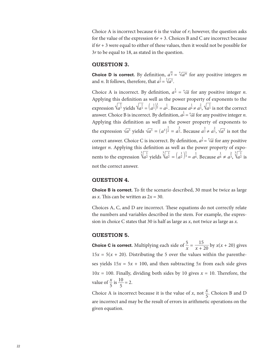Choice A is incorrect because 6 is the value of *r*; however, the question asks for the value of the expression  $6r + 3$ . Choices B and C are incorrect because if 6*r* + 3 were equal to either of these values, then it would not be possible for 3*r* to be equal to 18, as stated in the question.

#### **QUESTION 3.**

**Choice D is correct.** By definition,  $a^{\frac{m}{n}} = \sqrt[n]{a^m}$  for any positive integers *m* and *n*. It follows, therefore, that  $a^{\frac{2}{3}} = \sqrt[3]{a^2}$ .

Choice A is incorrect. By definition,  $a^{\frac{1}{n}} = \sqrt[n]{a}$  for any positive integer *n*. Applying this definition as well as the power property of exponents to the expression  $\sqrt{a^{\frac{1}{3}}}$  yields  $\sqrt{a^{\frac{1}{3}}} = (\frac{1}{a^{\frac{1}{3}}})^{\frac{1}{2}} = a^{\frac{1}{6}}$ . Because  $a^{\frac{1}{6}} \neq a^{\frac{2}{3}}$ ,  $\sqrt{a^{\frac{1}{3}}}$  is not the correct answer. Choice B is incorrect. By definition,  $a^{\frac{1}{n}} = \sqrt[n]{a}$  for any positive integer *n*. Applying this definition as well as the power property of exponents to the expression √  $\frac{e_{\Pi}}{2}$ *a*3 yields √  $\frac{S}{2}$  $\overline{a^3} = (a^3)^{\frac{1}{2}} = a^{\frac{3}{2}}$ . Because  $a^{\frac{3}{2}} \neq a^{\frac{2}{3}}$ ,  $\sqrt{3}$  $\frac{X}{2}$ *a*3 is not the correct answer. Choice C is incorrect. By definition,  $a^{\frac{1}{n}} = \sqrt[n]{a}$  for any positive integer *n*. Applying this definition as well as the power property of exponents to the expression  $\sqrt[3]{\frac{1}{a^2}}$  yields  $\sqrt[3]{\frac{1}{a^2}} = \left(\frac{1}{a^2}\right)$  $\frac{1}{3} = a^{\frac{1}{6}}$ . Because  $a^{\frac{1}{6}} \neq a^{\frac{2}{3}}$ ,  $\sqrt[3]{a^{\frac{1}{2}}}$  is not the correct answer.

#### **QUESTION 4.**

**Choice B is correct.** To fit the scenario described, 30 must be twice as large as *x*. This can be written as  $2x = 30$ .

Choices A, C, and D are incorrect. These equations do not correctly relate the numbers and variables described in the stem. For example, the expression in choice C states that 30 is half as large as *x*, not twice as large as *x*.

#### **QUESTION 5.**

**Choice C is correct.** Multiplying each side of  $\frac{5}{x}$  $\frac{3}{x}$  =  $\frac{15}{x + 20}$  by *x*(*x* + 20) gives  $15x = 5(x + 20)$ . Distributing the 5 over the values within the parentheses yields  $15x = 5x + 100$ , and then subtracting  $5x$  from each side gives  $10x = 100$ . Finally, dividing both sides by 10 gives  $x = 10$ . Therefore, the value of  $\frac{x}{5}$  is  $\frac{10}{5}$  = 2.

Choice A is incorrect because it is the value of *x*, not  $\frac{x}{5}$  $\frac{\lambda}{5}$ . Choices B and D are incorrect and may be the result of errors in arithmetic operations on the given equation.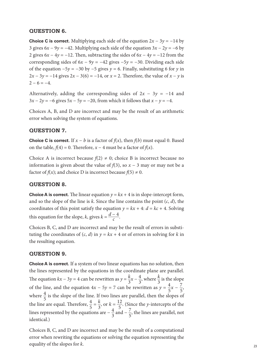## **QUESTION 6.**

**Choice C is correct.** Multiplying each side of the equation  $2x - 3y = -14$  by 3 gives  $6x - 9y = -42$ . Multiplying each side of the equation  $3x - 2y = -6$  by 2 gives  $6x - 4y = -12$ . Then, subtracting the sides of  $6x - 4y = -12$  from the corresponding sides of  $6x - 9y = -42$  gives  $-5y = -30$ . Dividing each side of the equation  $-5y = -30$  by  $-5$  gives  $y = 6$ . Finally, substituting 6 for *y* in  $2x - 3y = -14$  gives  $2x - 3(6) = -14$ , or  $x = 2$ . Therefore, the value of  $x - y$  is  $2 - 6 = -4.$ 

Alternatively, adding the corresponding sides of  $2x - 3y = -14$  and 3*x* − 2*y* = −6 gives 5*x* − 5*y* = −20, from which it follows that *x* − *y* = −4.

Choices A, B, and D are incorrect and may be the result of an arithmetic error when solving the system of equations.

## **QUESTION 7.**

**Choice C is correct.** If  $x - b$  is a factor of  $f(x)$ , then  $f(b)$  must equal 0. Based on the table,  $f(4) = 0$ . Therefore,  $x - 4$  must be a factor of  $f(x)$ .

Choice A is incorrect because  $f(2) \neq 0$ ; choice B is incorrect because no information is given about the value of  $f(3)$ , so  $x - 3$  may or may not be a factor of  $f(x)$ ; and choice D is incorrect because  $f(5) \neq 0$ .

## **QUESTION 8.**

**Choice A is correct.** The linear equation  $y = kx + 4$  is in slope-intercept form, and so the slope of the line is  $k$ . Since the line contains the point  $(c, d)$ , the coordinates of this point satisfy the equation  $y = kx + 4$ :  $d = kc + 4$ . Solving and so the slope of the line is *k*. Since the life<br>coordinates of this point satisfy the equation<br>this equation for the slope, *k*, gives  $k = \frac{d-4}{c}$  $\frac{d-4}{c}$ .

Choices B, C, and D are incorrect and may be the result of errors in substituting the coordinates of  $(c, d)$  in  $y = kx + 4$  or of errors in solving for *k* in the resulting equation.

## **QUESTION 9.**

**Choice A is correct.** If a system of two linear equations has no solution, then the lines represented by the equations in the coordinate plane are parallel. The equation  $kx - 3y = 4$  can be rewritten as  $y = \frac{k}{3}x - \frac{4}{3}$ , where  $\frac{k}{3}$  is the slope of the line, and the equation  $4x - 5y = 7$  can be rewritten as  $y = \frac{4}{5}$  $\frac{4}{5}x - \frac{7}{5}$  $\frac{7}{5}$ , where  $\frac{4}{5}$  is the slope of the line. If two lines are parallel, then the slopes of the line are equal. Therefore,  $\frac{4}{5} = \frac{k}{3}$ , or  $k = \frac{12}{5}$ . (Since the *y*-intercepts of the lines represented by the equations are  $-\frac{4}{3}$  and  $-\frac{7}{5}$ , the lines are parallel, not identical.)

Choices B, C, and D are incorrect and may be the result of a computational error when rewriting the equations or solving the equation representing the equality of the slopes for *k*.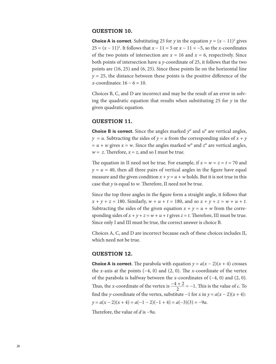## **QUESTION 10.**

**Choice A is correct.** Substituting 25 for *y* in the equation  $y = (x - 11)^2$  gives 25 =  $(x - 11)^2$ . It follows that  $x - 11 = 5$  or  $x - 11 = -5$ , so the *x*-coordinates of the two points of intersection are  $x = 16$  and  $x = 6$ , respectively. Since both points of intersection have a *y*-coordinate of 25, it follows that the two points are (16, 25) and (6, 25). Since these points lie on the horizontal line  $y = 25$ , the distance between these points is the positive difference of the *x*-coordinates: 16 − 6 = 10.

Choices B, C, and D are incorrect and may be the result of an error in solving the quadratic equation that results when substituting 25 for  $\gamma$  in the given quadratic equation.

## **QUESTION 11.**

**Choice B is correct.** Since the angles marked  $y^{\circ}$  and  $u^{\circ}$  are vertical angles,  $y = u$ . Subtracting the sides of  $y = u$  from the corresponding sides of  $x + y$  $u + w$  gives  $x = w$ . Since the angles marked  $w^{\circ}$  and  $z^{\circ}$  are vertical angles,  $w = z$ . Therefore,  $x = z$ , and so I must be true.

The equation in II need not be true. For example, if  $x = w = z = t = 70$  and  $y = u = 40$ , then all three pairs of vertical angles in the figure have equal measure and the given condition  $x + y = u + w$  holds. But it is not true in this case that *y* is equal to *w*. Therefore, II need not be true.

Since the top three angles in the figure form a straight angle, it follows that  $x + y + z = 180$ . Similarly,  $w + u + t = 180$ , and so  $x + y + z = w + u + t$ . Subtracting the sides of the given equation  $x + y = u + w$  from the corresponding sides of  $x + y + z = w + u + t$  gives  $z = t$ . Therefore, III must be true. Since only I and III must be true, the correct answer is choice B.

Choices A, C, and D are incorrect because each of these choices includes II, which need not be true.

#### **QUESTION 12.**

**Choice A is correct.** The parabola with equation  $y = a(x - 2)(x + 4)$  crosses the *x*-axis at the points  $(-4, 0)$  and  $(2, 0)$ . The *x*-coordinate of the vertex of the parabola is halfway between the *x*-coordinates of (−4, 0) and (2, 0). the *x*-axis at the points (-4, 0) and (2, 0). T<br>of the parabola is halfway between the *x*-coordinate of the vertex is  $\frac{-4+2}{2}$  $\frac{-4+2}{2}$  = -1. This is the value of *c*. To find the *y*-coordinate of the vertex, substitute −1 for *x* in  $y = a(x - 2)(x + 4)$ :  $y = a(x - 2)(x + 4) = a(-1 - 2)(-1 + 4) = a(-3)(3) = -9a$ .

Therefore, the value of *d* is −9*a*.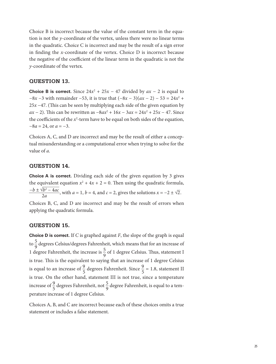Choice B is incorrect because the value of the constant term in the equation is not the *y*-coordinate of the vertex, unless there were no linear terms in the quadratic. Choice C is incorrect and may be the result of a sign error in finding the *x*-coordinate of the vertex. Choice D is incorrect because the negative of the coefficient of the linear term in the quadratic is not the *y*-coordinate of the vertex.

## **QUESTION 13.**

**Choice B is correct.** Since  $24x^2 + 25x - 47$  divided by  $ax - 2$  is equal to −8*x* −3 with remainder −53, it is true that (−8*x* − 3)(*ax* − 2) − 53 = 24*x*<sup>2</sup> + 25*x* −47. (This can be seen by multiplying each side of the given equation by *ax* − 2). This can be rewritten as  $-8ax^2 + 16x - 3ax = 24x^2 + 25x - 47$ . Since the coefficients of the  $x^2$ -term have to be equal on both sides of the equation,  $-8a = 24$ , or  $a = -3$ .

Choices A, C, and D are incorrect and may be the result of either a conceptual misunderstanding or a computational error when trying to solve for the value of *a*.

## **QUESTION 14.**

**Choice A is correct.** Dividing each side of the given equation by 3 gives the equivalent equation  $x^2 + 4x + 2 = 0$ . Then using the quadratic formula, **QUESTION**<br>Choice A is complete<br>the equivalent<br> $-b \pm \sqrt{b^2 - 4ac}$ **Choice A is correct**. Dividing each side of the given equation by 3 given equivalent equation  $x^2 + 4x + 2 = 0$ . Then using the quadratic forms  $-b \pm \sqrt{b^2 - 4ac}$ , with  $a = 1$ ,  $b = 4$ , and  $c = 2$ , gives the solutions  $x = -2 \pm$  $\overline{a}$ 2 .

Choices B, C, and D are incorrect and may be the result of errors when applying the quadratic formula.

## **QUESTION 15.**

**Choice D is correct.** If *C* is graphed against *F*, the slope of the graph is equal to  $\frac{5}{9}$  degrees Celsius/degrees Fahrenheit, which means that for an increase of 1 degree Fahrenheit, the increase is  $\frac{5}{9}$  of 1 degree Celsius. Thus, statement I is true. This is the equivalent to saying that an increase of 1 degree Celsius is equal to an increase of  $\frac{9}{5}$  $\frac{9}{5}$  degrees Fahrenheit. Since  $\frac{9}{5}$  $\frac{5}{5}$  = 1.8, statement II is true. On the other hand, statement III is not true, since a temperature increase of  $\frac{9}{5}$  degrees Fahrenheit, not  $\frac{5}{9}$  degree Fahrenheit, is equal to a temperature increase of 1 degree Celsius.

Choices A, B, and C are incorrect because each of these choices omits a true statement or includes a false statement.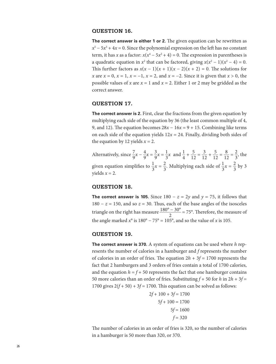## **QUESTION 16.**

**The correct answer is either 1 or 2.** The given equation can be rewritten as  $x^5 - 5x^3 + 4x = 0$ . Since the polynomial expression on the left has no constant term, it has *x* as a factor:  $x(x^4 - 5x^2 + 4) = 0$ . The expression in parentheses is a quadratic equation in  $x^2$  that can be factored, giving  $x(x^2 - 1)(x^2 - 4) = 0$ . This further factors as  $x(x - 1)(x + 1)(x - 2)(x + 2) = 0$ . The solutions for *x* are  $x = 0$ ,  $x = 1$ ,  $x = -1$ ,  $x = 2$ , and  $x = -2$ . Since it is given that  $x > 0$ , the possible values of *x* are  $x = 1$  and  $x = 2$ . Either 1 or 2 may be gridded as the correct answer.

### **QUESTION 17.**

**The correct answer is 2.** First, clear the fractions from the given equation by multiplying each side of the equation by 36 (the least common multiple of 4, 9, and 12). The equation becomes  $28x - 16x = 9 + 15$ . Combining like terms on each side of the equation yields  $12x = 24$ . Finally, dividing both sides of the equation by 12 yields  $x = 2$ .

Alternatively, since  $\frac{7}{9}x - \frac{4}{9}x = \frac{3}{9}x = \frac{1}{3}x$  and  $\frac{1}{4} + \frac{5}{12} = \frac{3}{12} + \frac{5}{12} = \frac{8}{12} = \frac{2}{3}$ , the given equation simplifies to  $\frac{1}{2}$  $\frac{1}{3}x = \frac{2}{3}$  $\frac{2}{3}$ . Multiplying each side of  $\frac{1}{3}$  $\frac{1}{3}x = \frac{2}{3}$  $rac{2}{3}$  by 3 yields  $x = 2$ .

#### **QUESTION 18.**

**The correct answer is 105.** Since  $180 - z = 2y$  and  $y = 75$ , it follows that 180 − *z* = 150, and so *z* = 30. Thus, each of the base angles of the isosceles triangle on the right has measure e 180 − *z*<br>us, each of<br> $\frac{180^{\circ} - 30^{\circ}}{2}$ <br>= 105°, an  $\frac{2}{2}$  = 75°. Therefore, the measure of the angle marked  $x^{\circ}$  is 180° − 75° = 105°, and so the value of *x* is 105.

#### **QUESTION 19.**

**The correct answer is 370.** A system of equations can be used where *h* represents the number of calories in a hamburger and *f* represents the number of calories in an order of fries. The equation  $2h + 3f = 1700$  represents the fact that 2 hamburgers and 3 orders of fries contain a total of 1700 calories, and the equation  $h = f + 50$  represents the fact that one hamburger contains 50 more calories than an order of fries. Substituting  $f + 50$  for  $h$  in  $2h + 3f =$ 1700 gives  $2(f + 50) + 3f = 1700$ . This equation can be solved as follows:

$$
2f + 100 + 3f = 1700
$$

$$
5f + 100 = 1700
$$

$$
5f = 1600
$$

$$
f = 320
$$

The number of calories in an order of fries is 320, so the number of calories in a hamburger is 50 more than 320, or 370.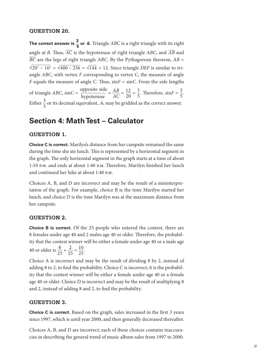## **QUESTION 20.**

**The correct answer is**  $\frac{3}{5}$  **or .6.** Triangle *ABC* is a right triangle with its right angle at *B*. Thus,  $\overline{AC}$  is the hypotenuse of right triangle *ABC*, and  $\overline{AB}$  and  $\overline{BC}$  are the legs of right triangle angle at *B*. Thus,  $\overline{AC}$  is the hypotenuse of right triangle ABC, and  $\overline{AB}$  and *BC* are the legs of right triangle *ABC*. By the Pythagorean theorem, *AB* =  $\sqrt{20^2 - 16^2} = \sqrt{400 - 256} = \sqrt{144} = 12$ . Since triangle *DEF* is similar to triy po<br>igle<br>144 angle *ABC*, with vertex *F* corresponding to vertex *C*, the measure of angle *F* equals the measure of angle *C*. Thus, sin*F* = sin*C*. From the side lengths of triangle *ABC*,  $\sin C = \frac{0}{1}$ triangle *ABC*<br>=  $\sqrt{144}$  = 1:<br><sup>2</sup> correspond<br>angle *C*. Thu<br>opposite side<br>hypotenuse<br>uivalent, .6, i pposite side  $\frac{\text{opposite side}}{\text{hypotenuse}} = \frac{AB}{AC}$  $\frac{AB}{AC} = \frac{12}{20} = \frac{3}{5}$ . Therefore,  $\sin F = \frac{3}{5}$ . Either  $\frac{3}{5}$  or its decimal equivalent, .6, may be gridded as the correct answer.

## **Section 4: Math Test – Calculator**

## **QUESTION 1.**

**Choice C is correct.** Marilyn's distance from her campsite remained the same during the time she ate lunch. This is represented by a horizontal segment in the graph. The only horizontal segment in the graph starts at a time of about 1:10 p.m. and ends at about 1:40 p.m. Therefore, Marilyn finished her lunch and continued her hike at about 1:40 p.m.

Choices A, B, and D are incorrect and may be the result of a misinterpretation of the graph. For example, choice B is the time Marilyn started her lunch, and choice D is the time Marilyn was at the maximum distance from her campsite.

## **QUESTION 2.**

**Choice B is correct.** Of the 25 people who entered the contest, there are 8 females under age 40 and 2 males age 40 or older. Therefore, the probability that the contest winner will be either a female under age 40 or a male age 40 or older is  $\frac{8}{25} + \frac{2}{25} = \frac{10}{25}$ .

Choice A is incorrect and may be the result of dividing 8 by 2, instead of adding 8 to 2, to find the probability. Choice C is incorrect; it is the probability that the contest winner will be either a female under age 40 or a female age 40 or older. Choice D is incorrect and may be the result of multiplying 8 and 2, instead of adding 8 and 2, to find the probability.

#### **QUESTION 3.**

**Choice C is correct.** Based on the graph, sales increased in the first 3 years since 1997, which is until year 2000, and then generally decreased thereafter.

Choices A, B, and D are incorrect; each of these choices contains inaccuracies in describing the general trend of music album sales from 1997 to 2000.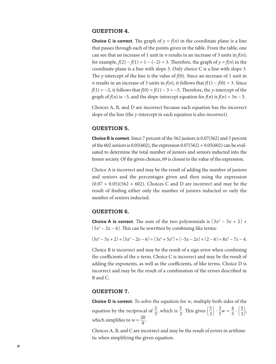## **QUESTION 4.**

**Choice C is correct.** The graph of  $y = f(n)$  in the coordinate plane is a line that passes through each of the points given in the table. From the table, one can see that an increase of 1 unit in *n* results in an increase of 3 units in  $f(n)$ ; for example,  $f(2) - f(1) = 1 - (-2) = 3$ . Therefore, the graph of  $y = f(n)$  in the coordinate plane is a line with slope 3. Only choice C is a line with slope 3. The *y*-intercept of the line is the value of *f*(0). Since an increase of 1 unit in *n* results in an increase of 3 units in  $f(n)$ , it follows that  $f(1) - f(0) = 3$ . Since  $f(1) = -2$ , it follows that  $f(0) = f(1) - 3 = -5$ . Therefore, the *y*-intercept of the graph of *f*(*n*) is −5, and the slope-intercept equation for *f*(*n*) is *f*(*n*) = 3*n* − 5.

Choices A, B, and D are incorrect because each equation has the incorrect slope of the line (the *y*-intercept in each equation is also incorrect).

## **QUESTION 5.**

**Choice B is correct.** Since 7 percent of the 562 juniors is 0.07(562) and 5 percent of the 602 seniors is  $0.05(602)$ , the expression  $0.07(562) + 0.05(602)$  can be evaluated to determine the total number of juniors and seniors inducted into the honor society. Of the given choices, 69 is closest to the value of the expression.

Choice A is incorrect and may be the result of adding the number of juniors and seniors and the percentages given and then using the expression  $(0.07 + 0.05)(562 + 602)$ . Choices C and D are incorrect and may be the result of finding either only the number of juniors inducted or only the number of seniors inducted.

## **QUESTION 6.**

**Choice A is correct.** The sum of the two polynomials is  $(3x^2 - 5x + 2)$  + ( 5*x*<sup>2</sup> − 2*x* − 6). This can be rewritten by combining like terms:

 $(3x^2 - 5x + 2) + (5x^2 - 2x - 6) = (3x^2 + 5x^2) + (-5x - 2x) + (2 - 6) = 8x^2 - 7x - 4.$ 

Choice B is incorrect and may be the result of a sign error when combining the coefficients of the *x-*term. Choice C is incorrect and may be the result of adding the exponents, as well as the coefficients, of like terms. Choice D is incorrect and may be the result of a combination of the errors described in B and C.

## **QUESTION 7.**

**Choice D is correct.** To solve the equation for *w*, multiply both sides of the equation by the reciprocal of  $\frac{3}{5}$  $\frac{3}{5}$ , which is  $\frac{5}{3}$  $\frac{5}{3}$ . This gives  $\left(\frac{5}{3}\right)$  $\left(\frac{5}{3}\right) \cdot \frac{3}{5}w = \frac{4}{5}$  $rac{4}{5} \cdot \left(\frac{5}{3}\right)$  $\frac{3}{3}$ , which simplifies to  $w = \frac{20}{9}$ .

Choices A, B, and C are incorrect and may be the result of errors in arithmetic when simplifying the given equation.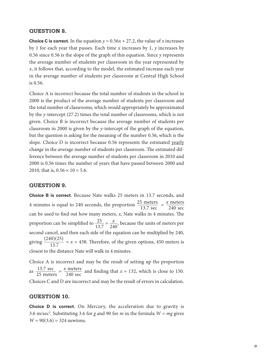## **QUESTION 8.**

**Choice C is correct.** In the equation  $y = 0.56x + 27.2$ , the value of *x* increases by 1 for each year that passes. Each time *x* increases by 1, *y* increases by 0.56 since 0.56 is the slope of the graph of this equation. Since *y* represents the average number of students per classroom in the year represented by *x*, it follows that, according to the model, the estimated increase each year in the average number of students per classroom at Central High School is 0.56.

Choice A is incorrect because the total number of students in the school in 2000 is the product of the average number of students per classroom and the total number of classrooms, which would appropriately be approximated by the *y*-intercept (27.2) times the total number of classrooms, which is not given. Choice B is incorrect because the average number of students per classroom in 2000 is given by the *y*-intercept of the graph of the equation, but the question is asking for the meaning of the number 0.56, which is the slope. Choice D is incorrect because 0.56 represents the estimated yearly change in the average number of students per classroom. The estimated difference between the average number of students per classroom in 2010 and 2000 is 0.56 times the number of years that have passed between 2000 and 2010, that is,  $0.56 \times 10 = 5.6$ .

#### **QUESTION 9.**

**Choice B is correct.** Because Nate walks 25 meters in 13.7 seconds, and 4 minutes is equal to 240 seconds, the proportion  $\frac{25}{1}$  $\frac{13.7}{25}$  meters<br>13.7 sec<br>alks in 4 1  $\frac{5 \text{ meters}}{13.7 \text{ sec}} = \frac{x}{2}$ nds, and<br>
<u>x meters</u><br>
240 sec can be used to find out how many meters, *x*, Nate walks in 4 minutes. The can be used to find out how many meters, *x*, Nate walks in 4 minutes. The proportion can be simplified to  $\frac{25}{13.7} = \frac{x}{240}$ , because the units of meters per second cancel, and then each side of the equation can be multiplied by 240, giving  $\frac{(240)(25)}{13.7}$ used to fi<br>tion can b<br>cancel, are<br> $\frac{(240)(25)}{13.7}$ <br>to the dist  $\frac{13.7}{13.7}$  = *x* ≈ 438. Therefore, of the given options, 450 meters is closest to the distance Nate will walk in 4 minutes.

Choice A is incorrect and may be the result of setting up the proportion as  $\frac{13}{3}$ .<br>sest to the<br>oice A is<br> $\frac{13.7}{25}$  meters  $\frac{13.7 \text{ sec}}{25 \text{ meters}} = \frac{x}{25}$ ance Nat<br>
orrect an<br>
<u>x meters</u><br>
240 sec meters and finding that  $x \approx 132$ , which is close to 150. Choices C and D are incorrect and may be the result of errors in calculation.

## **QUESTION 10.**

**Choice D is correct.** On Mercury, the acceleration due to gravity is 3.6 m/sec<sup>2</sup>. Substituting 3.6 for *g* and 90 for *m* in the formula  $W = mg$  gives  $W = 90(3.6) = 324$  newtons.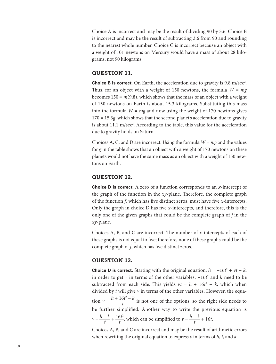Choice A is incorrect and may be the result of dividing 90 by 3.6. Choice B is incorrect and may be the result of subtracting 3.6 from 90 and rounding to the nearest whole number. Choice C is incorrect because an object with a weight of 101 newtons on Mercury would have a mass of about 28 kilograms, not 90 kilograms.

## **QUESTION 11.**

**Choice B is correct.** On Earth, the acceleration due to gravity is 9.8 m/sec<sup>2</sup>. Thus, for an object with a weight of 150 newtons, the formula *W* = *mg* becomes 150 = *m*(9.8), which shows that the mass of an object with a weight of 150 newtons on Earth is about 15.3 kilograms. Substituting this mass into the formula  $W = mg$  and now using the weight of 170 newtons gives 170 = 15.3*g*, which shows that the second planet's acceleration due to gravity is about 11.1 m/sec<sup>2</sup>. According to the table, this value for the acceleration due to gravity holds on Saturn.

Choices A, C, and D are incorrect. Using the formula *W* = *mg* and the values for *g* in the table shows that an object with a weight of 170 newtons on these planets would not have the same mass as an object with a weight of 150 newtons on Earth.

## **QUESTION 12.**

**Choice D is correct.** A zero of a function corresponds to an *x*-intercept of the graph of the function in the *xy*-plane. Therefore, the complete graph of the function *f*, which has five distinct zeros, must have five *x*-intercepts. Only the graph in choice D has five *x*-intercepts, and therefore, this is the only one of the given graphs that could be the complete graph of *f* in the *xy*-plane.

Choices A, B, and C are incorrect. The number of *x*-intercepts of each of these graphs is not equal to five; therefore, none of these graphs could be the complete graph of *f*, which has five distinct zeros.

## **QUESTION 13.**

**Choice D is correct.** Starting with the original equation,  $h = -16t^2 + vt + k$ , in order to get *v* in terms of the other variables, −16*t* 2 and *k* need to be subtracted from each side. This yields  $vt = h + 16t^2 - k$ , which when divided by *t* will give *v* in terms of the other variables. However, the equa- $\text{tion } v = \frac{h + 16t}{t}$ **is correct.**<br>
to get *v* in<br>
ed from each<br>
y *t* will give<br>  $\frac{h + 16t^2 - k}{t}$ <br>
er simplifie  $\frac{5t - k}{t}$  is not one of the options, so the right side needs to be further simplified. Another way to write the previous equation is be furth<br> $v = \frac{h - k}{t}$  $\frac{h-k}{t} + \frac{16t^2}{t}$ 2 implified. Another way to write the  $\frac{6t^2}{t}$ , which can be simplified to  $v = \frac{h - k}{t}$  $\frac{h-k}{t}$  + 16*t*.

Choices A, B, and C are incorrect and may be the result of arithmetic errors when rewriting the original equation to express *v* in terms of *h*, *t*, and *k*.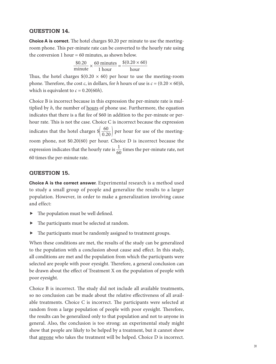## **QUESTION 14.**

**Choice A is correct.** The hotel charges \$0.20 per minute to use the meetingroom phone. This per-minute rate can be converted to the hourly rate using<br>the conversion 1 hour = 60 minutes, as shown below.<br> $\frac{$0.20}{$minute} \times \frac{60 \text{ minutes}}{1 \text{ hour}} = \frac{\$(0.20 \times 60)\${hour}}$ the conversion 1 hour  $= 60$  minutes, as shown below. he hotel charges \$0.2<br>-minute rate can be c<br>= 60 minutes, as sho<br>\$0.20  $\times$  60 minutes<br>minute 1 hour rges \$0.20 per minute to<br>
es, as shown below.<br>
<u>I hour</u> =  $\frac{$(0.20 \times 60)}{1 \text{ hour}}$ <br>
=  $\frac{$(0.20 \times 60)}{1 \text{ hour}}$ 

$$
\frac{\$0.20}{\text{minute}} \times \frac{60 \text{ minutes}}{1 \text{ hour}} = \frac{\$(0.20 \times 60)}{\text{hour}}
$$

Thus, the hotel charges  $$(0.20 \times 60)$  per hour to use the meeting-room phone. Therefore, the cost *c*, in dollars, for *h* hours of use is  $c = (0.20 \times 60)h$ , which is equivalent to  $c = 0.20(60h)$ .

Choice B is incorrect because in this expression the per-minute rate is multiplied by *h*, the number of hours of phone use. Furthermore, the equation indicates that there is a flat fee of \$60 in addition to the per-minute or perhour rate. This is not the case. Choice C is incorrect because the expression hour rate. This is not the case. Choice C is incorrect because the expression indicates that the hotel charges  $\frac{\sqrt{60}}{0.20}$  per hour for use of the meetingroom phone, not \$0.20(60) per hour. Choice D is incorrect because the expression indicates that the hourly rate is  $\frac{1}{60}$  times the per-minute rate, not 60 times the per-minute rate.

## **QUESTION 15.**

**Choice A is the correct answer.** Experimental research is a method used to study a small group of people and generalize the results to a larger population. However, in order to make a generalization involving cause and effect:

- $\blacktriangleright$  The population must be well defined.
- The participants must be selected at random.
- $\blacktriangleright$  The participants must be randomly assigned to treatment groups.

When these conditions are met, the results of the study can be generalized to the population with a conclusion about cause and effect. In this study, all conditions are met and the population from which the participants were selected are people with poor eyesight. Therefore, a general conclusion can be drawn about the effect of Treatment X on the population of people with poor eyesight.

Choice B is incorrect. The study did not include all available treatments, so no conclusion can be made about the relative effectiveness of all available treatments. Choice C is incorrect. The participants were selected at random from a large population of people with poor eyesight. Therefore, the results can be generalized only to that population and not to anyone in general. Also, the conclusion is too strong: an experimental study might show that people are likely to be helped by a treatment, but it cannot show that anyone who takes the treatment will be helped. Choice D is incorrect.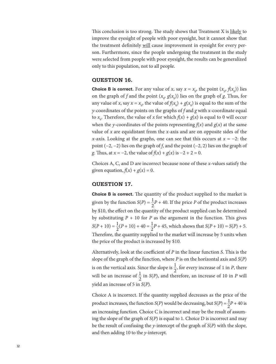This conclusion is too strong. The study shows that Treatment X is likely to improve the eyesight of people with poor eyesight, but it cannot show that the treatment definitely will cause improvement in eyesight for every person. Furthermore, since the people undergoing the treatment in the study were selected from people with poor eyesight, the results can be generalized only to this population, not to all people.

#### **QUESTION 16.**

**Choice B is correct.** For any value of *x*, say  $x = x_0$ , the point  $(x_0, f(x_0))$  lies on the graph of *f* and the point  $(x_o, g(x_o))$  lies on the graph of *g*. Thus, for any value of *x*, say  $x = x_0$ , the value of  $f(x_0) + g(x_0)$  is equal to the sum of the *y*-coordinates of the points on the graphs of *f* and *g* with *x*-coordinate equal to  $x_0$ . Therefore, the value of *x* for which  $f(x) + g(x)$  is equal to 0 will occur when the *y*-coordinates of the points representing  $f(x)$  and  $g(x)$  at the same value of *x* are equidistant from the *x*-axis and are on opposite sides of the *x*-axis. Looking at the graphs, one can see that this occurs at *x* = −2: the point (−2, −2) lies on the graph of *f*, and the point (−2, 2) lies on the graph of *g*. Thus, at *x* = −2, the value of *f*(*x*) + *g*(*x*) is −2 + 2 = 0.

Choices A, C, and D are incorrect because none of these *x*-values satisfy the given equation,  $f(x) + g(x) = 0$ .

#### **QUESTION 17.**

**Choice B is correct.** The quantity of the product supplied to the market is given by the function  $S(P) = \frac{1}{2}P + 40$ . If the price *P* of the product increases by \$10, the effect on the quantity of the product supplied can be determined by substituting  $P + 10$  for  $P$  as the argument in the function. This gives  $S(P + 10) = \frac{1}{2}(P + 10) + 40 = \frac{1}{2}P + 45$ , which shows that  $S(P + 10) = S(P) + 5$ . Therefore, the quantity supplied to the market will increase by 5 units when the price of the product is increased by \$10.

Alternatively, look at the coefficient of *P* in the linear function *S*. This is the slope of the graph of the function, where *P* is on the horizontal axis and *S*(*P*) is on the vertical axis. Since the slope is  $\frac{1}{2}$ , for every increase of 1 in *P*, there will be an increase of  $\frac{1}{2}$  $\frac{1}{2}$  in *S*(*P*), and therefore, an increase of 10 in *P* will yield an increase of 5 in *S*(*P*).

Choice A is incorrect. If the quantity supplied decreases as the price of the product increases, the function *S*(*P*) would be decreasing, but *S*(*P*) =  $\frac{1}{2}$  $\frac{1}{2}P + 40$  is an increasing function. Choice C is incorrect and may be the result of assuming the slope of the graph of *S*(*P*) is equal to 1. Choice D is incorrect and may be the result of confusing the *y*-intercept of the graph of *S*(*P*) with the slope, and then adding 10 to the *y*-intercept.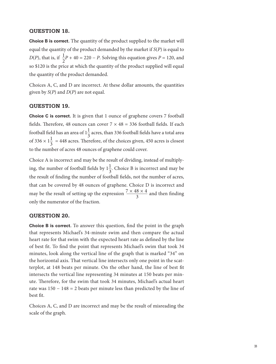## **QUESTION 18.**

**Choice B is correct.** The quantity of the product supplied to the market will equal the quantity of the product demanded by the market if *S*(*P*) is equal to *D*(*P*), that is, if  $\frac{1}{2}P + 40 = 220 - P$ . Solving this equation gives *P* = 120, and so \$120 is the price at which the quantity of the product supplied will equal the quantity of the product demanded.

Choices A, C, and D are incorrect. At these dollar amounts, the quantities given by *S*(*P*) and *D*(*P*) are not equal.

## **QUESTION 19.**

**Choice C is correct.** It is given that 1 ounce of graphene covers 7 football fields. Therefore, 48 ounces can cover  $7 \times 48 = 336$  football fields. If each football field has an area of  $1\frac{1}{3}$  acres, than 336 football fields have a total area of 336  $\times$  1 $\frac{1}{3}$  = 448 acres. Therefore, of the choices given, 450 acres is closest to the number of acres 48 ounces of graphene could cover.

Choice A is incorrect and may be the result of dividing, instead of multiplying, the number of football fields by  $1\frac{1}{2}$  $\frac{1}{3}$ . Choice B is incorrect and may be the result of finding the number of football fields, not the number of acres, that can be covered by 48 ounces of graphene. Choice D is incorrect and may be the result of setting up the expression the B is incode B is incode.<br>  $\frac{3 \times 48 \times 4}{3}$  $\frac{3}{3}$  and then finding only the numerator of the fraction.

#### **QUESTION 20.**

**Choice B is correct.** To answer this question, find the point in the graph that represents Michael's 34-minute swim and then compare the actual heart rate for that swim with the expected heart rate as defined by the line of best fit. To find the point that represents Michael's swim that took 34 minutes, look along the vertical line of the graph that is marked "34" on the horizontal axis. That vertical line intersects only one point in the scatterplot, at 148 beats per minute. On the other hand, the line of best fit intersects the vertical line representing 34 minutes at 150 beats per minute. Therefore, for the swim that took 34 minutes, Michael's actual heart rate was 150 − 148 = 2 beats per minute less than predicted by the line of best fit.

Choices A, C, and D are incorrect and may be the result of misreading the scale of the graph.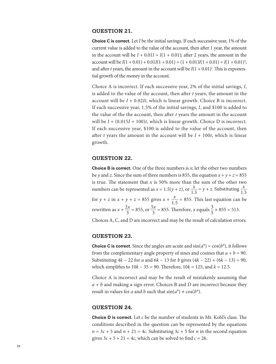## **QUESTION 21.**

**Choice C is correct.** Let *I* be the initial savings. If each successive year, 1% of the current value is added to the value of the account, then after 1 year, the amount in the account will be  $I + 0.01I = I(1 + 0.01)$ ; after 2 years, the amount in the  $account will be I(1 + 0.01) + 0.01I(1 + 0.01) = (1 + 0.01)I(1 + 0.01) = I(1 + 0.01)<sup>2</sup>;$ and after *t* years, the amount in the account will be  $I(1 + 0.01)^t$ . This is exponential growth of the money in the account.

Choice A is incorrect. If each successive year, 2% of the initial savings, *I*, is added to the value of the account, then after *t* years, the amount in the account will be *I* + 0.02*It*, which is linear growth. Choice B is incorrect. If each successive year, 1.5% of the initial savings, *I*, and \$100 is added to the value of the the account, then after *t* years the amount in the account will be  $I + (0.015I + 100)t$ , which is linear growth. Choice D is incorrect. If each successive year, \$100 is added to the value of the account, then after *t* years the amount in the account will be  $I + 100t$ , which is linear growth.

## **QUESTION 22.**

**Choice B is correct.** One of the three numbers is *x*; let the other two numbers be *y* and *z*. Since the sum of three numbers is 855, the equation  $x + y + z = 855$ is true. The statement that  $x$  is 50% more than the sum of the other two is true. The statement that *x* is 50% more than the sum of the other two numbers can be represented as  $x = 1.5(y + z)$ , or  $\frac{x}{1.5} = y + z$ . Substituting  $\frac{x}{1.5}$ for  $y + z$  in  $x + y + z = 855$  gives  $x + \frac{x}{1.5} = 855$ . This last equation can be rewritten as  $x + \frac{2x}{3} = 855$ , or  $\frac{5x}{3} = 855$ . Therefore, *x* equals  $\frac{3}{5} \times 855 = 513$ .

Choices A, C, and D are incorrect and may be the result of calculation errors.

## **QUESTION 23.**

**Choice C is correct.** Since the angles are acute and  $sin(a^{\circ}) = cos(b^{\circ})$ , it follows from the complementary angle property of sines and cosines that  $a + b = 90$ . Substituting 4*k* − 22 for *a* and 6*k* − 13 for *b* gives (4*k* − 22) + (6*k* − 13) = 90, which simplifies to 10*k* − 35 = 90. Therefore, 10*k* = 125, and *k* = 12.5.

Choice A is incorrect and may be the result of mistakenly assuming that *a* + *b* and making a sign error. Choices B and D are incorrect because they result in values for *a* and *b* such that  $sin(a^{\circ}) \neq cos(b^{\circ})$ .

#### **QUESTION 24.**

**Choice D is correct.** Let *c* be the number of students in Mr. Kohl's class. The conditions described in the question can be represented by the equations  $n = 3c + 5$  and  $n + 21 = 4c$ . Substituting  $3c + 5$  for *n* in the second equation gives  $3c + 5 + 21 = 4c$ , which can be solved to find  $c = 26$ .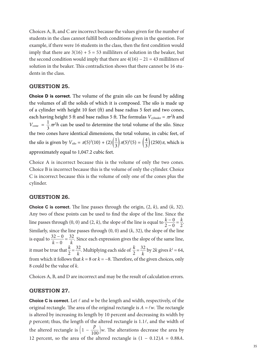Choices A, B, and C are incorrect because the values given for the number of students in the class cannot fulfill both conditions given in the question. For example, if there were 16 students in the class, then the first condition would imply that there are  $3(16) + 5 = 53$  milliliters of solution in the beaker, but the second condition would imply that there are  $4(16) - 21 = 43$  milliliters of solution in the beaker. This contradiction shows that there cannot be 16 students in the class.

## **QUESTION 25.**

**Choice D is correct.** The volume of the grain silo can be found by adding the volumes of all the solids of which it is composed. The silo is made up of a cylinder with height 10 feet (ft) and base radius 5 feet and two cones, each having height 5 ft and base radius 5 ft. The formulas  $V_{\text{cylinder}} = \pi r^2 h$  and  $V_{\text{cone}} = \frac{1}{3} \pi r^2 h$  can be used to determine the total volume of the silo. Since the two cones have identical dimensions, the total volume, in cubic feet, of the silo is given by  $V_{\rm silo} = \pi (5)^2 (10) + (2) \left(\frac{1}{3}\right) \pi (5)^2 (5) = \left(\frac{4}{3}\right) (250) \pi$ , which is approximately equal to 1,047.2 cubic feet.

Choice A is incorrect because this is the volume of only the two cones. Choice B is incorrect because this is the volume of only the cylinder. Choice C is incorrect because this is the volume of only one of the cones plus the cylinder.

## **QUESTION 26.**

**Choice C is correct.** The line passes through the origin, (2, *k*), and (*k*, 32). Any two of these points can be used to find the slope of the line. Since the **Choice C is correct.** The line passes through the origin, (2, *k*), and (*k*, 32). Any two of these points can be used to find the slope of the line. Since the line passes through (0, 0) and (2, *k*), the slope of the li Similarly, since the line passes through (0, 0) and (*k*, 32), the slope of the line line passes through (0, 0) and (2, *k*), the slope of the line is equal to  $\frac{k-0}{2-0} = \frac{k}{2}$ .<br>Similarly, since the line passes through (0, 0) and (*k*, 32), the slope of the line is equal to  $\frac{32-0}{k-0} = \frac{32}{k}$ . Sin it must be true that  $\frac{k}{2}$  $\frac{k}{2} = \frac{32}{k}$  $\frac{32}{k}$ . Multiplying each side of  $\frac{k}{2}$  $\frac{k}{2} = \frac{32}{k}$  $\frac{b2}{k}$  by 2*k* gives  $k^2 = 64$ , from which it follows that  $k = 8$  or  $k = -8$ . Therefore, of the given choices, only 8 could be the value of *k*.

Choices A, B, and D are incorrect and may be the result of calculation errors.

#### **QUESTION 27.**

**Choice C is correct.** Let  $\ell$  and  $w$  be the length and width, respectively, of the original rectangle. The area of the original rectangle is  $A = \ell w$ . The rectangle is altered by increasing its length by 10 percent and decreasing its width by  $p$  percent; thus, the length of the altered rectangle is 1.1 $\ell$ , and the width of p percent; thus, the length of the<br>the altered rectangle is  $\left(1 - \frac{p}{100}\right)$ *p*  $\frac{1}{100}$  *w*. The alterations decrease the area by 12 percent, so the area of the altered rectangle is  $(1 - 0.12)A = 0.88A$ .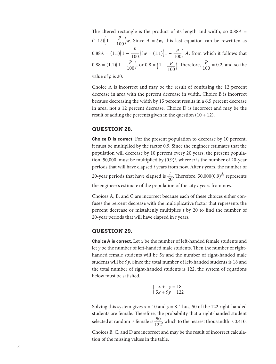The altered rectangle is the product of its length and width, so 0.88*A* = The altered rec<br>(1.1 $\ell$ ) $\left(1 - \frac{p}{100}\right)$ *p*  $\frac{1}{100}$  *w*. Since *A* = *lw*, this last equation can be rewritten as  $(1.1 \times)(1 - 100)^{100}$ <br>0.88*A* =  $(1.1)(1 - \frac{P}{100})$ *P*  $\frac{P}{100}$  $\ell w = (1.1)\left(1 - \frac{P}{100}\right)A$ , from which it follows that  $0.88A = (1.1)(1 - \frac{P}{100})$  $\frac{P}{100}$ , or  $0.8 = \left(1 - \frac{P}{100}\right)$ . Therefore,  $\frac{P}{100} = 0.2$ , and so the value of *p* is 20.

Choice A is incorrect and may be the result of confusing the 12 percent decrease in area with the percent decrease in width. Choice B is incorrect because decreasing the width by 15 percent results in a 6.5 percent decrease in area, not a 12 percent decrease. Choice D is incorrect and may be the result of adding the percents given in the question  $(10 + 12)$ .

## **QUESTION 28.**

**Choice D is correct.** For the present population to decrease by 10 percent, it must be multiplied by the factor 0.9. Since the engineer estimates that the population will decrease by 10 percent every 20 years, the present population, 50,000, must be multiplied by (0.9)*<sup>n</sup>* , where *n* is the number of 20-year periods that will have elapsed *t* years from now. After *t* years, the number of

20-year periods that have elapsed is  $\frac{t}{20}$ . Therefore, 50,000(0.9)<sup> $\frac{t}{20}$ </sup> represents the engineer's estimate of the population of the city *t* years from now.

Choices A, B, and C are incorrect because each of these choices either confuses the percent decrease with the multiplicative factor that represents the percent decrease or mistakenly multiplies *t* by 20 to find the number of 20-year periods that will have elapsed in *t* years.

#### **QUESTION 29.**

**Choice A is correct.** Let *x* be the number of left-handed female students and let *y* be the number of left-handed male students. Then the number of righthanded female students will be 5*x* and the number of right-handed male students will be 9*y*. Since the total number of left-handed students is 18 and the total number of right-handed students is 122, the system of equations below must be satisfied.

$$
\begin{cases}\nx + y = 18 \\
5x + 9y = 122\n\end{cases}
$$

Solving this system gives  $x = 10$  and  $y = 8$ . Thus, 50 of the 122 right-handed students are female. Therefore, the probability that a right-handed student students are female. Therefore, the probability that a right-handed student selected at random is female is  $\frac{50}{122}$ , which to the nearest thousandth is 0.410.

Choices B, C, and D are incorrect and may be the result of incorrect calculation of the missing values in the table.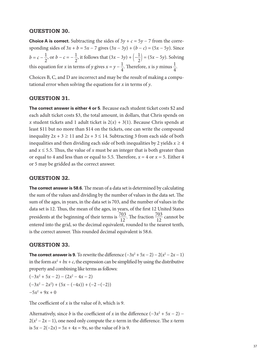## **QUESTION 30.**

**Choice A is correct.** Subtracting the sides of  $3y + c = 5y - 7$  from the corresponding sides of  $3x + b = 5x - 7$  gives  $(3x - 3y) + (b - c) = (5x - 5y)$ . Since *b* = *c* −  $\frac{1}{2}$ , or *b* − *c* = −  $\frac{1}{2}$ , it follows that  $(3x - 3y) + (-\frac{1}{2}) = (5x - 5y)$ . Solving this equation for *x* in terms of *y* gives  $x = y - \frac{1}{4}$ . Therefore, *x* is *y* minus  $\frac{1}{4}$ .

Choices B, C, and D are incorrect and may be the result of making a computational error when solving the equations for *x* in terms of *y*.

#### **QUESTION 31.**

**The correct answer is either 4 or 5**. Because each student ticket costs \$2 and each adult ticket costs \$3, the total amount, in dollars, that Chris spends on *x* student tickets and 1 adult ticket is  $2(x) + 3(1)$ . Because Chris spends at least \$11 but no more than \$14 on the tickets, one can write the compound inequality  $2x + 3 \ge 11$  and  $2x + 3 \le 14$ . Subtracting 3 from each side of both inequalities and then dividing each side of both inequalities by 2 yields  $x \ge 4$ and  $x \le 5.5$ . Thus, the value of x must be an integer that is both greater than or equal to 4 and less than or equal to 5.5. Therefore,  $x = 4$  or  $x = 5$ . Either 4 or 5 may be gridded as the correct answer.

## **QUESTION 32.**

**The correct answer is 58.6.** The mean of a data set is determined by calculating the sum of the values and dividing by the number of values in the data set. The sum of the ages, in years, in the data set is 703, and the number of values in the data set is 12. Thus, the mean of the ages, in years, of the first 12 United States data set is 12. Thus, the mean of the ages, in years, of the first 12 United States presidents at the beginning of their terms is  $\frac{703}{12}$ . The fraction  $\frac{703}{12}$  cannot be entered into the grid, so the decimal equivalent, rounded to the nearest tenth, is the correct answer. This rounded decimal equivalent is 58.6.

#### **QUESTION 33.**

**The correct answer is 9.** To rewrite the difference  $(-3x^2 + 5x - 2) - 2(x^2 - 2x - 1)$ in the form  $ax^2 + bx + c$ , the expression can be simplified by using the distributive property and combining like terms as follows:

 $(-3x^2 + 5x - 2) - (2x^2 - 4x - 2)$  $(-3x^2 - 2x^2) + (5x - (-4x)) + (-2 - (-2))$  $-5x^2 + 9x + 0$ 

The coefficient of *x* is the value of *b*, which is 9.

Alternatively, since *b* is the coefficient of *x* in the difference  $(-3x^2 + 5x - 2)$  –  $2(x^2 - 2x - 1)$ , one need only compute the *x*-term in the difference. The *x*-term is  $5x - 2(-2x) = 5x + 4x = 9x$ , so the value of *b* is 9.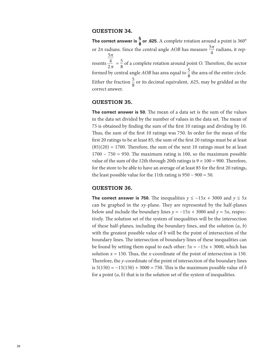#### **QUESTION 34.**

**The correct answer is**  $\frac{5}{8}$  **or .625.** A complete rotation around a point is 360° or 2π radians. Since the central angle *AOB* has measure  $\frac{5\pi}{4}$  radians, it rep-<br> $\frac{5\pi}{4}$ resents  $\frac{\frac{3\pi}{4}}{2\pi} = \frac{5}{8}$  of a complete rotation around point *O*. Therefore, the sector formed by central angle *AOB* has area equal to  $\frac{5}{8}$  the area of the entire circle. Either the fraction  $\frac{5}{9}$  $\frac{3}{8}$  or its decimal equivalent, .625, may be gridded as the correct answer.

#### **QUESTION 35.**

**The correct answer is 50.** The mean of a data set is the sum of the values in the data set divided by the number of values in the data set. The mean of 75 is obtained by finding the sum of the first 10 ratings and dividing by 10. Thus, the sum of the first 10 ratings was 750. In order for the mean of the first 20 ratings to be at least 85, the sum of the first 20 ratings must be at least  $(85)(20) = 1700$ . Therefore, the sum of the next 10 ratings must be at least 1700 − 750 = 950. The maximum rating is 100, so the maximum possible value of the sum of the 12th through 20th ratings is  $9 \times 100 = 900$ . Therefore, for the store to be able to have an average of at least 85 for the first 20 ratings, the least possible value for the 11th rating is  $950 - 900 = 50$ .

#### **QUESTION 36.**

**The correct answer is 750.** The inequalities  $y \le -15x + 3000$  and  $y \le 5x$ can be graphed in the *xy*-plane. They are represented by the half-planes below and include the boundary lines  $y = -15x + 3000$  and  $y = 5x$ , respectively. The solution set of the system of inequalities will be the intersection of these half-planes, including the boundary lines, and the solution (*a*, *b*) with the greatest possible value of *b* will be the point of intersection of the boundary lines. The intersection of boundary lines of these inequalities can be found by setting them equal to each other:  $5x = -15x + 3000$ , which has solution  $x = 150$ . Thus, the *x*-coordinate of the point of intersection is 150. Therefore, the *y*-coordinate of the point of intersection of the boundary lines is  $5(150) = -15(150) + 3000 = 750$ . This is the maximum possible value of *b* for a point (*a*, *b*) that is in the solution set of the system of inequalities.